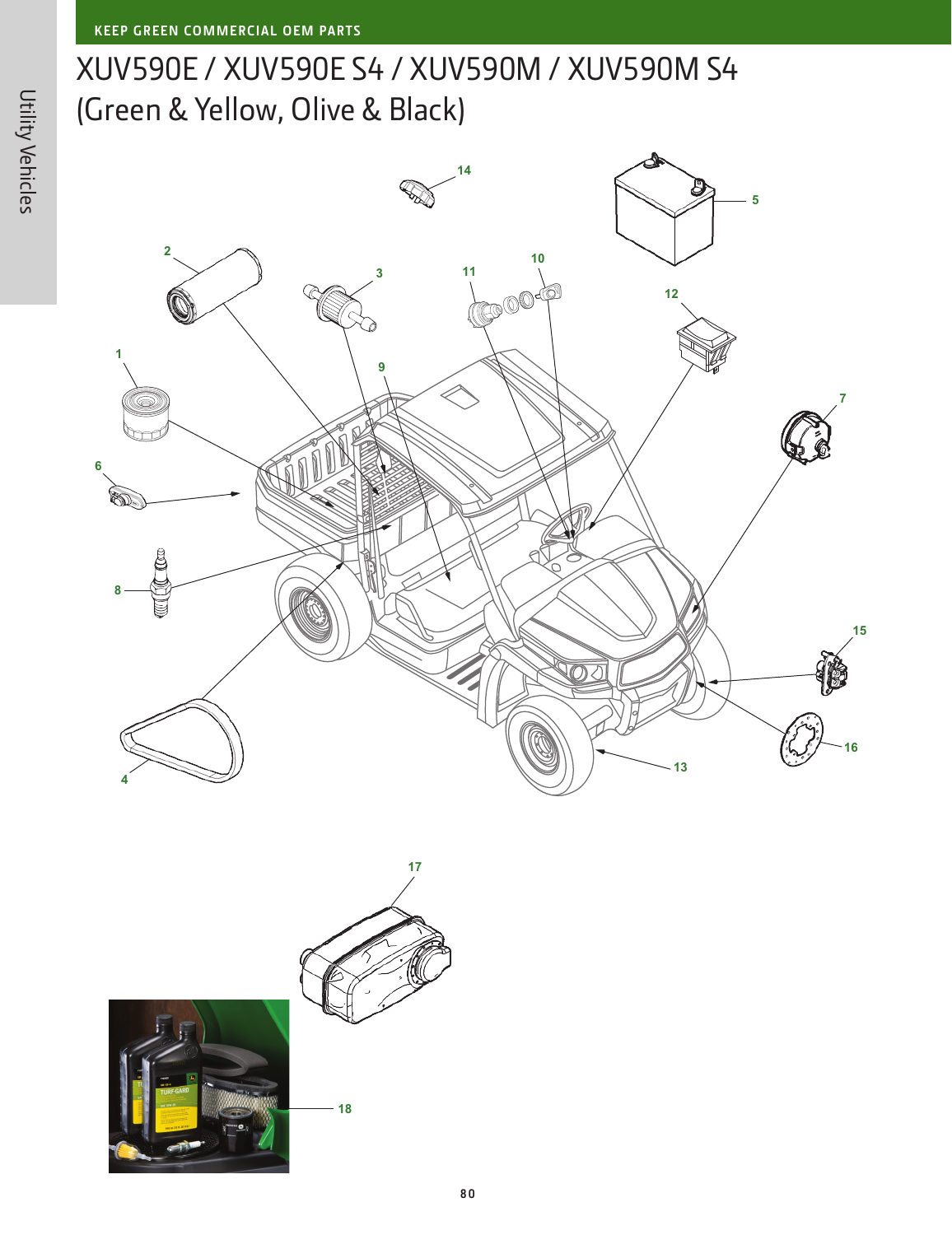XUV590E / XUV590E S4 / XUV590M / XUV590M S4 (Green & Yellow, Olive & Black)